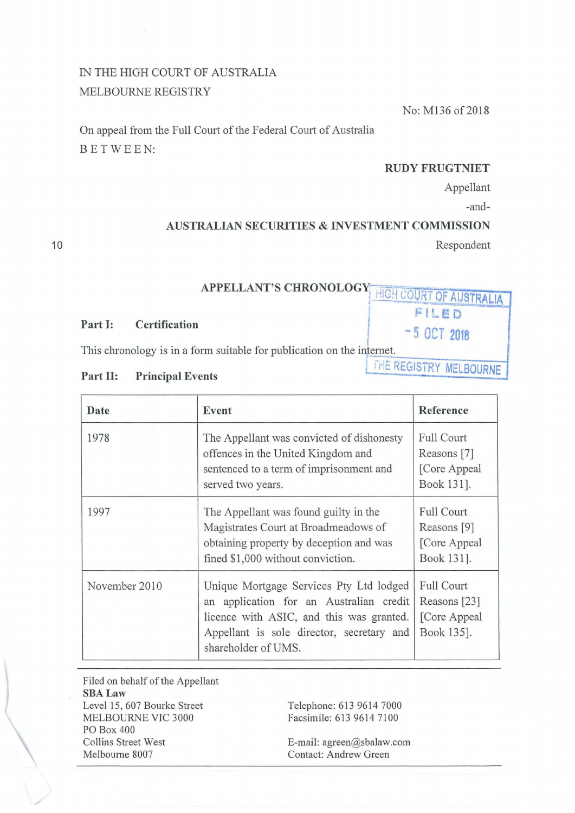## IN THE HIGH COURT OF AUSTRALIA MELBOURNE REGISTRY

No: M136 of 2018

On appeal from the Full Court of the Federal Court of Australia BETWEEN:

### **RUDY FRUGTNIET**

 $FILED$ 

THE REGISTRY **MELBOURNE** 

Appellant

-and-

## **AUSTRALIAN SECURITIES & INVESTMENT COMMISSION**

Respondent

## **APPELLANT'S CHRONOLOGY** <sup>1</sup> HIGH COURT OF AUSTRALIA

# **Part I:** Certification **1** - 5 **OCT 2018**

This chronology is in a form suitable for publication on the internet.

#### **Part II: Principal Events**

| Date          | Event                                                                                                                                                                                              | Reference                                                       |
|---------------|----------------------------------------------------------------------------------------------------------------------------------------------------------------------------------------------------|-----------------------------------------------------------------|
| 1978          | The Appellant was convicted of dishonesty<br>offences in the United Kingdom and<br>sentenced to a term of imprisonment and<br>served two years.                                                    | <b>Full Court</b><br>Reasons [7]<br>[Core Appeal<br>Book 131].  |
| 1997          | The Appellant was found guilty in the<br>Magistrates Court at Broadmeadows of<br>obtaining property by deception and was<br>fined \$1,000 without conviction.                                      | <b>Full Court</b><br>Reasons [9]<br>[Core Appeal<br>Book 131].  |
| November 2010 | Unique Mortgage Services Pty Ltd lodged<br>an application for an Australian credit<br>licence with ASIC, and this was granted.<br>Appellant is sole director, secretary and<br>shareholder of UMS. | <b>Full Court</b><br>Reasons [23]<br>[Core Appeal<br>Book 135]. |

Filed on behalf of the Appellant **SBALaw**  Level 15, 607 Bourke Street MELBOURNE VIC 3000 PO Box 400 Collins Street West Melbourne 8007

Telephone: 613 9614 7000 Facsimile: 613 9614 7100

E-mail: agreen@sbalaw.com Contact: Andrew Green

10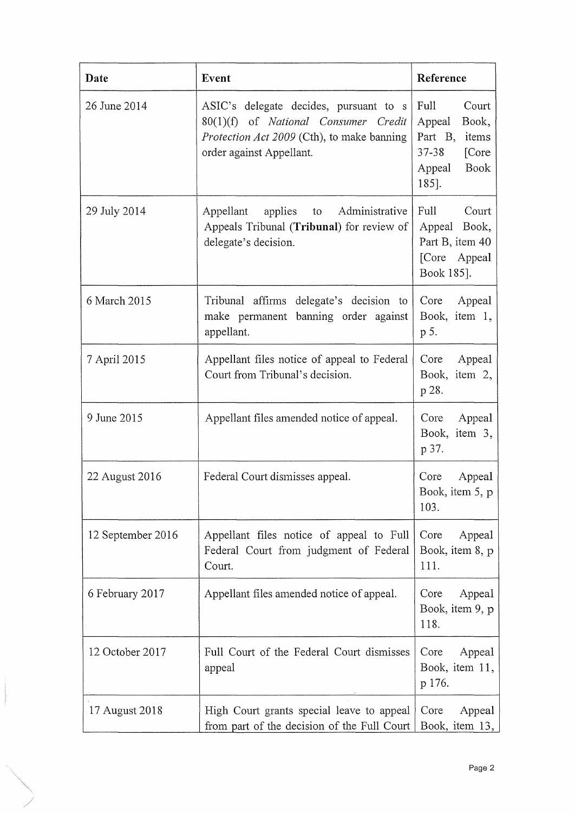| Date              | Event                                                                                                                                                           | Reference                                                                                                    |
|-------------------|-----------------------------------------------------------------------------------------------------------------------------------------------------------------|--------------------------------------------------------------------------------------------------------------|
| 26 June 2014      | ASIC's delegate decides, pursuant to s<br>80(1)(f) of National Consumer Credit<br><i>Protection Act 2009</i> (Cth), to make banning<br>order against Appellant. | Full<br>Court<br>Appeal<br>Book,<br>Part B,<br>items<br>$37 - 38$<br>[Core<br><b>Book</b><br>Appeal<br>185]. |
| 29 July 2014      | Appellant<br>applies to<br>Administrative<br>Appeals Tribunal (Tribunal) for review of<br>delegate's decision.                                                  | Full<br>Court<br>Appeal Book,<br>Part B, item 40<br>[Core Appeal<br>Book 185].                               |
| 6 March 2015      | Tribunal affirms delegate's decision to<br>make permanent banning order against<br>appellant.                                                                   | Core<br>Appeal<br>Book, item 1,<br>p 5.                                                                      |
| 7 April 2015      | Appellant files notice of appeal to Federal<br>Court from Tribunal's decision.                                                                                  | Appeal<br>Core<br>Book, item 2,<br>p 28.                                                                     |
| 9 June 2015       | Appellant files amended notice of appeal.                                                                                                                       | Appeal<br>Core<br>Book, item 3,<br>p 37.                                                                     |
| 22 August 2016    | Federal Court dismisses appeal.                                                                                                                                 | Appeal<br>Core<br>Book, item 5, p<br>103.                                                                    |
| 12 September 2016 | Appellant files notice of appeal to Full<br>Federal Court from judgment of Federal<br>Court.                                                                    | Appeal<br>Core<br>Book, item 8, p<br>111.                                                                    |
| 6 February 2017   | Appellant files amended notice of appeal.                                                                                                                       | Appeal<br>Core<br>Book, item 9, p<br>118.                                                                    |
| 12 October 2017   | Full Court of the Federal Court dismisses<br>appeal                                                                                                             | Core<br>Appeal<br>Book, item 11,<br>p 176.                                                                   |
| 17 August 2018    | High Court grants special leave to appeal<br>from part of the decision of the Full Court                                                                        | Core<br>Appeal<br>Book, item 13,                                                                             |